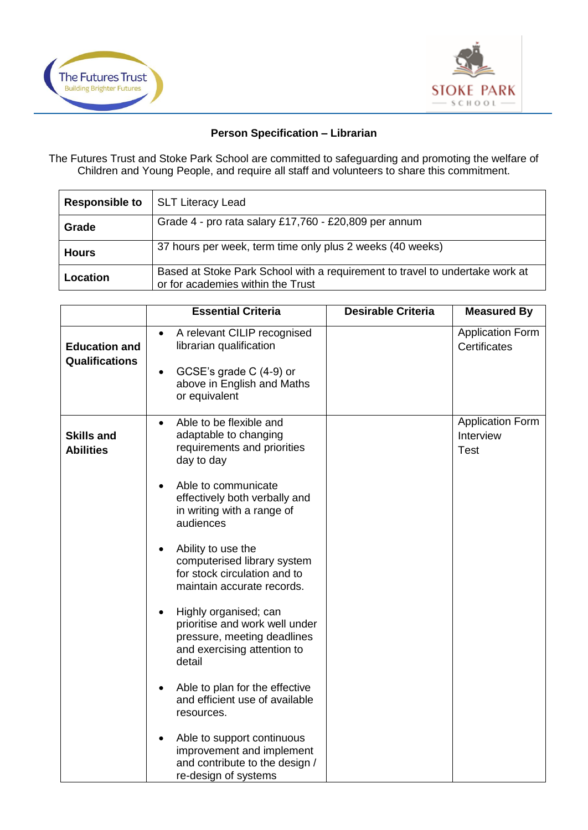



## **Person Specification – Librarian**

The Futures Trust and Stoke Park School are committed to safeguarding and promoting the welfare of Children and Young People, and require all staff and volunteers to share this commitment.

| <b>Responsible to</b> | <b>SLT Literacy Lead</b>                                                                                          |
|-----------------------|-------------------------------------------------------------------------------------------------------------------|
| Grade                 | Grade 4 - pro rata salary £17,760 - £20,809 per annum                                                             |
| <b>Hours</b>          | 37 hours per week, term time only plus 2 weeks (40 weeks)                                                         |
| Location              | Based at Stoke Park School with a requirement to travel to undertake work at<br>or for academies within the Trust |

|                                               | <b>Essential Criteria</b>                                                                                                                                                                                                                                                                                                                                                                                                                                                                                                                                                                                                                                                                                         | <b>Desirable Criteria</b> | <b>Measured By</b>                           |
|-----------------------------------------------|-------------------------------------------------------------------------------------------------------------------------------------------------------------------------------------------------------------------------------------------------------------------------------------------------------------------------------------------------------------------------------------------------------------------------------------------------------------------------------------------------------------------------------------------------------------------------------------------------------------------------------------------------------------------------------------------------------------------|---------------------------|----------------------------------------------|
| <b>Education and</b><br><b>Qualifications</b> | A relevant CILIP recognised<br>$\bullet$<br>librarian qualification<br>GCSE's grade C (4-9) or<br>$\bullet$<br>above in English and Maths<br>or equivalent                                                                                                                                                                                                                                                                                                                                                                                                                                                                                                                                                        |                           | <b>Application Form</b><br>Certificates      |
| <b>Skills and</b><br><b>Abilities</b>         | Able to be flexible and<br>$\bullet$<br>adaptable to changing<br>requirements and priorities<br>day to day<br>Able to communicate<br>$\bullet$<br>effectively both verbally and<br>in writing with a range of<br>audiences<br>Ability to use the<br>$\bullet$<br>computerised library system<br>for stock circulation and to<br>maintain accurate records.<br>Highly organised; can<br>prioritise and work well under<br>pressure, meeting deadlines<br>and exercising attention to<br>detail<br>Able to plan for the effective<br>and efficient use of available<br>resources.<br>Able to support continuous<br>$\bullet$<br>improvement and implement<br>and contribute to the design /<br>re-design of systems |                           | <b>Application Form</b><br>Interview<br>Test |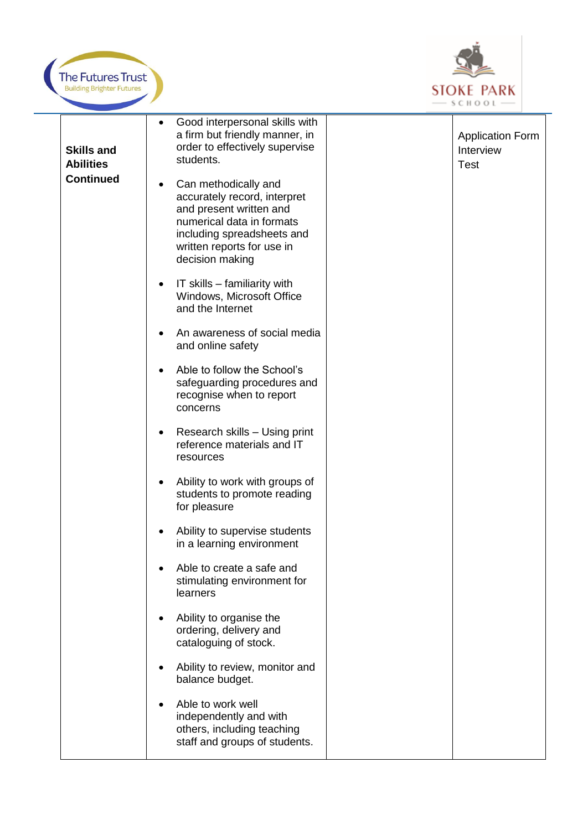



| <b>Skills and</b><br><b>Abilities</b><br><b>Continued</b> | Good interpersonal skills with<br>$\bullet$<br>a firm but friendly manner, in<br>order to effectively supervise<br>students.<br>Can methodically and<br>$\bullet$<br>accurately record, interpret<br>and present written and<br>numerical data in formats<br>including spreadsheets and<br>written reports for use in<br>decision making | <b>Application Form</b><br>Interview<br><b>Test</b> |
|-----------------------------------------------------------|------------------------------------------------------------------------------------------------------------------------------------------------------------------------------------------------------------------------------------------------------------------------------------------------------------------------------------------|-----------------------------------------------------|
|                                                           | IT skills – familiarity with<br>$\bullet$<br>Windows, Microsoft Office<br>and the Internet                                                                                                                                                                                                                                               |                                                     |
|                                                           | An awareness of social media<br>and online safety                                                                                                                                                                                                                                                                                        |                                                     |
|                                                           | Able to follow the School's<br>safeguarding procedures and<br>recognise when to report<br>concerns                                                                                                                                                                                                                                       |                                                     |
|                                                           | Research skills - Using print<br>reference materials and IT<br>resources                                                                                                                                                                                                                                                                 |                                                     |
|                                                           | Ability to work with groups of<br>$\bullet$<br>students to promote reading<br>for pleasure                                                                                                                                                                                                                                               |                                                     |
|                                                           | Ability to supervise students<br>in a learning environment                                                                                                                                                                                                                                                                               |                                                     |
|                                                           | Able to create a safe and<br>stimulating environment for<br>learners                                                                                                                                                                                                                                                                     |                                                     |
|                                                           | Ability to organise the<br>ordering, delivery and<br>cataloguing of stock.                                                                                                                                                                                                                                                               |                                                     |
|                                                           | Ability to review, monitor and<br>balance budget.                                                                                                                                                                                                                                                                                        |                                                     |
|                                                           | Able to work well<br>independently and with<br>others, including teaching<br>staff and groups of students.                                                                                                                                                                                                                               |                                                     |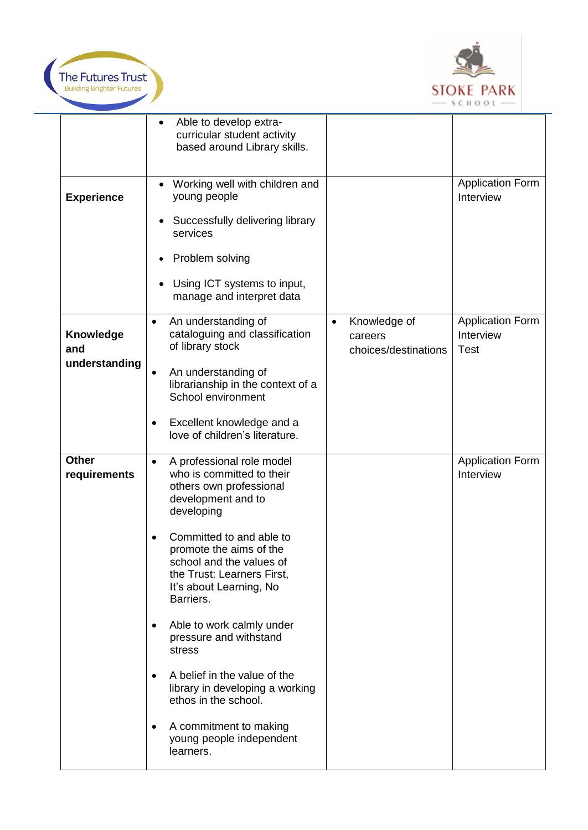



|                                   | Able to develop extra-<br>$\bullet$<br>curricular student activity<br>based around Library skills.                                                                                                                                                                                                                                                                                                                                                                                                                                                   |                                                              |                                              |
|-----------------------------------|------------------------------------------------------------------------------------------------------------------------------------------------------------------------------------------------------------------------------------------------------------------------------------------------------------------------------------------------------------------------------------------------------------------------------------------------------------------------------------------------------------------------------------------------------|--------------------------------------------------------------|----------------------------------------------|
| <b>Experience</b>                 | Working well with children and<br>young people<br>Successfully delivering library<br>services<br>Problem solving<br>Using ICT systems to input,<br>manage and interpret data                                                                                                                                                                                                                                                                                                                                                                         |                                                              | <b>Application Form</b><br>Interview         |
| Knowledge<br>and<br>understanding | An understanding of<br>$\bullet$<br>cataloguing and classification<br>of library stock<br>An understanding of<br>librarianship in the context of a<br>School environment<br>Excellent knowledge and a<br>$\bullet$<br>love of children's literature.                                                                                                                                                                                                                                                                                                 | Knowledge of<br>$\bullet$<br>careers<br>choices/destinations | Application Form<br>Interview<br><b>Test</b> |
| <b>Other</b><br>requirements      | A professional role model<br>$\bullet$<br>who is committed to their<br>others own professional<br>development and to<br>developing<br>Committed to and able to<br>promote the aims of the<br>school and the values of<br>the Trust: Learners First,<br>It's about Learning, No<br>Barriers.<br>Able to work calmly under<br>$\bullet$<br>pressure and withstand<br>stress<br>A belief in the value of the<br>$\bullet$<br>library in developing a working<br>ethos in the school.<br>A commitment to making<br>young people independent<br>learners. |                                                              | <b>Application Form</b><br>Interview         |